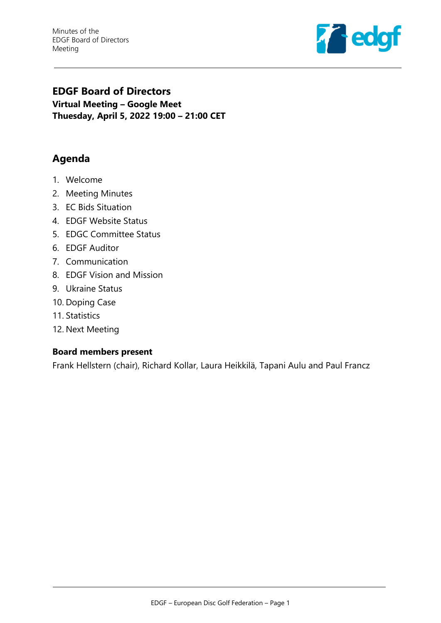Minutes of the EDGF Board of Directors Meeting



# **EDGF Board of Directors Virtual Meeting – Google Meet Thuesday, April 5, 2022 19:00 – 21:00 CET**

# **Agenda**

- 1. Welcome
- 2. Meeting Minutes
- 3. EC Bids Situation
- 4. EDGF Website Status
- 5. EDGC Committee Status
- 6. EDGF Auditor
- 7. Communication
- 8. EDGF Vision and Mission
- 9. Ukraine Status
- 10. Doping Case
- 11. Statistics
- 12. Next Meeting

#### **Board members present**

Frank Hellstern (chair), Richard Kollar, Laura Heikkilä, Tapani Aulu and Paul Francz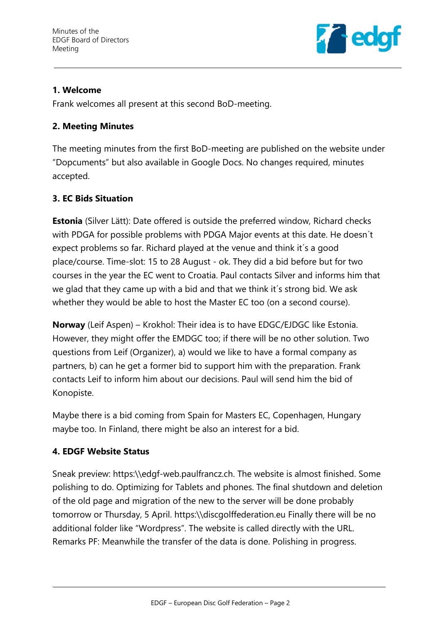

# **1. Welcome**

Frank welcomes all present at this second BoD-meeting.

### **2. Meeting Minutes**

The meeting minutes from the first BoD-meeting are published on the website under "Dopcuments" but also available in Google Docs. No changes required, minutes accepted.

# **3. EC Bids Situation**

**Estonia** (Silver Lätt): Date offered is outside the preferred window, Richard checks with PDGA for possible problems with PDGA Major events at this date. He doesn´t expect problems so far. Richard played at the venue and think it´s a good place/course. Time-slot: 15 to 28 August - ok. They did a bid before but for two courses in the year the EC went to Croatia. Paul contacts Silver and informs him that we glad that they came up with a bid and that we think it´s strong bid. We ask whether they would be able to host the Master EC too (on a second course).

**Norway** (Leif Aspen) – Krokhol: Their idea is to have EDGC/EJDGC like Estonia. However, they might offer the EMDGC too; if there will be no other solution. Two questions from Leif (Organizer), a) would we like to have a formal company as partners, b) can he get a former bid to support him with the preparation. Frank contacts Leif to inform him about our decisions. Paul will send him the bid of Konopiste.

Maybe there is a bid coming from Spain for Masters EC, Copenhagen, Hungary maybe too. In Finland, there might be also an interest for a bid.

# **4. EDGF Website Status**

Sneak preview: https:\\edgf-web.paulfrancz.ch. The website is almost finished. Some polishing to do. Optimizing for Tablets and phones. The final shutdown and deletion of the old page and migration of the new to the server will be done probably tomorrow or Thursday, 5 April. https:\\discgolffederation.eu Finally there will be no additional folder like "Wordpress". The website is called directly with the URL. Remarks PF: Meanwhile the transfer of the data is done. Polishing in progress.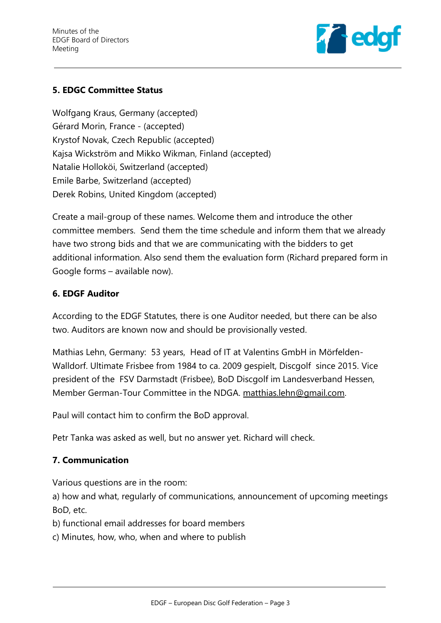

# **5. EDGC Committee Status**

Wolfgang Kraus, Germany (accepted) Gérard Morin, France - (accepted) Krystof Novak, Czech Republic (accepted) Kajsa Wickström and Mikko Wikman, Finland (accepted) Natalie Holloköi, Switzerland (accepted) Emile Barbe, Switzerland (accepted) Derek Robins, United Kingdom (accepted)

Create a mail-group of these names. Welcome them and introduce the other committee members. Send them the time schedule and inform them that we already have two strong bids and that we are communicating with the bidders to get additional information. Also send them the evaluation form (Richard prepared form in Google forms – available now).

#### **6. EDGF Auditor**

According to the EDGF Statutes, there is one Auditor needed, but there can be also two. Auditors are known now and should be provisionally vested.

Mathias Lehn, Germany: 53 years, Head of IT at Valentins GmbH in Mörfelden-Walldorf. Ultimate Frisbee from 1984 to ca. 2009 gespielt, Discgolf since 2015. Vice president of the FSV Darmstadt (Frisbee), BoD Discgolf im Landesverband Hessen, Member German-Tour Committee in the NDGA. [matthias.lehn@gmail.com.](mailto:matthias.lehn@gmail.com)

Paul will contact him to confirm the BoD approval.

Petr Tanka was asked as well, but no answer yet. Richard will check.

#### **7. Communication**

Various questions are in the room:

a) how and what, regularly of communications, announcement of upcoming meetings BoD, etc.

b) functional email addresses for board members

c) Minutes, how, who, when and where to publish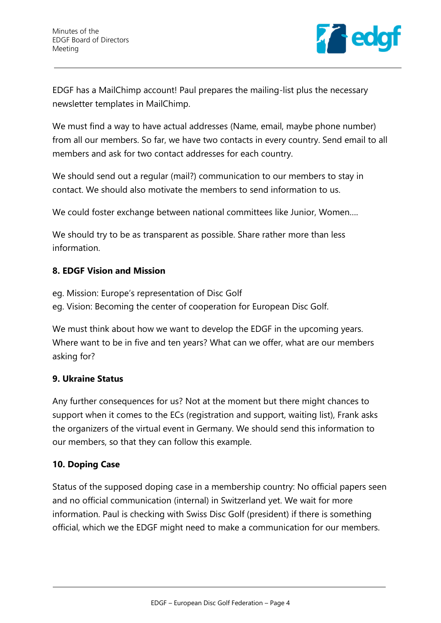

EDGF has a MailChimp account! Paul prepares the mailing-list plus the necessary newsletter templates in MailChimp.

We must find a way to have actual addresses (Name, email, maybe phone number) from all our members. So far, we have two contacts in every country. Send email to all members and ask for two contact addresses for each country.

We should send out a regular (mail?) communication to our members to stay in contact. We should also motivate the members to send information to us.

We could foster exchange between national committees like Junior, Women….

We should try to be as transparent as possible. Share rather more than less information.

# **8. EDGF Vision and Mission**

eg. Mission: Europe's representation of Disc Golf eg. Vision: Becoming the center of cooperation for European Disc Golf.

We must think about how we want to develop the EDGF in the upcoming years. Where want to be in five and ten years? What can we offer, what are our members asking for?

#### **9. Ukraine Status**

Any further consequences for us? Not at the moment but there might chances to support when it comes to the ECs (registration and support, waiting list), Frank asks the organizers of the virtual event in Germany. We should send this information to our members, so that they can follow this example.

# **10. Doping Case**

Status of the supposed doping case in a membership country: No official papers seen and no official communication (internal) in Switzerland yet. We wait for more information. Paul is checking with Swiss Disc Golf (president) if there is something official, which we the EDGF might need to make a communication for our members.